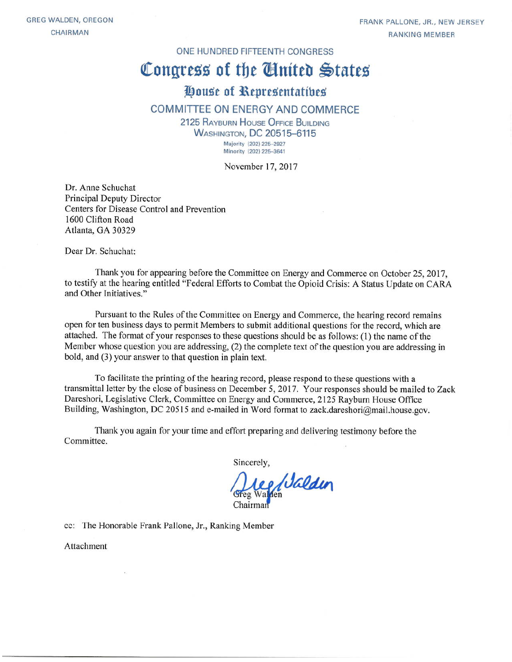FRANK PALLONE, JR., NEW JERSEY **RANKING MEMBER** 

#### ONE HUNDRED FIFTEENTH CONGRESS

# Congress of the Cinited States

# House of Representatives

#### **COMMITTEE ON ENERGY AND COMMERCE**

2125 RAYBURN HOUSE OFFICE BUILDING **WASHINGTON, DC 20515-6115** Majority (202) 225-2927

Minority (202) 225-3641

November 17, 2017

Dr. Anne Schuchat **Principal Deputy Director** Centers for Disease Control and Prevention 1600 Clifton Road Atlanta, GA 30329

Dear Dr. Schuchat:

Thank you for appearing before the Committee on Energy and Commerce on October 25, 2017. to testify at the hearing entitled "Federal Efforts to Combat the Opioid Crisis: A Status Update on CARA and Other Initiatives."

Pursuant to the Rules of the Committee on Energy and Commerce, the hearing record remains open for ten business days to permit Members to submit additional questions for the record, which are attached. The format of your responses to these questions should be as follows: (1) the name of the Member whose question you are addressing, (2) the complete text of the question you are addressing in bold, and (3) your answer to that question in plain text.

To facilitate the printing of the hearing record, please respond to these questions with a transmittal letter by the close of business on December 5, 2017. Your responses should be mailed to Zack Dareshori, Legislative Clerk, Committee on Energy and Commerce, 2125 Rayburn House Office Building, Washington, DC 20515 and e-mailed in Word format to zack.dareshori@mail.house.gov.

Thank you again for your time and effort preparing and delivering testimony before the Committee.

Sincerely,

Lee Walden

cc: The Honorable Frank Pallone, Jr., Ranking Member

Attachment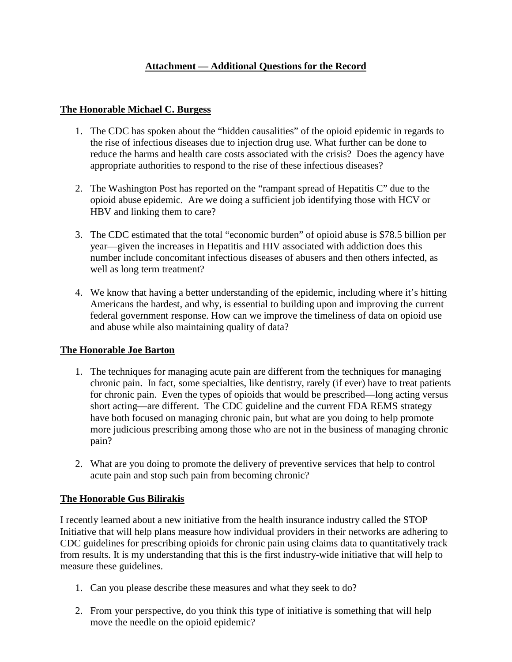# **Attachment — Additional Questions for the Record**

#### **The Honorable Michael C. Burgess**

- 1. The CDC has spoken about the "hidden causalities" of the opioid epidemic in regards to the rise of infectious diseases due to injection drug use. What further can be done to reduce the harms and health care costs associated with the crisis? Does the agency have appropriate authorities to respond to the rise of these infectious diseases?
- 2. The Washington Post has reported on the "rampant spread of Hepatitis C" due to the opioid abuse epidemic. Are we doing a sufficient job identifying those with HCV or HBV and linking them to care?
- 3. The CDC estimated that the total "economic burden" of opioid abuse is \$78.5 billion per year—given the increases in Hepatitis and HIV associated with addiction does this number include concomitant infectious diseases of abusers and then others infected, as well as long term treatment?
- 4. We know that having a better understanding of the epidemic, including where it's hitting Americans the hardest, and why, is essential to building upon and improving the current federal government response. How can we improve the timeliness of data on opioid use and abuse while also maintaining quality of data?

# **The Honorable Joe Barton**

- 1. The techniques for managing acute pain are different from the techniques for managing chronic pain. In fact, some specialties, like dentistry, rarely (if ever) have to treat patients for chronic pain. Even the types of opioids that would be prescribed—long acting versus short acting—are different. The CDC guideline and the current FDA REMS strategy have both focused on managing chronic pain, but what are you doing to help promote more judicious prescribing among those who are not in the business of managing chronic pain?
- 2. What are you doing to promote the delivery of preventive services that help to control acute pain and stop such pain from becoming chronic?

# **The Honorable Gus Bilirakis**

I recently learned about a new initiative from the health insurance industry called the STOP Initiative that will help plans measure how individual providers in their networks are adhering to CDC guidelines for prescribing opioids for chronic pain using claims data to quantitatively track from results. It is my understanding that this is the first industry-wide initiative that will help to measure these guidelines.

- 1. Can you please describe these measures and what they seek to do?
- 2. From your perspective, do you think this type of initiative is something that will help move the needle on the opioid epidemic?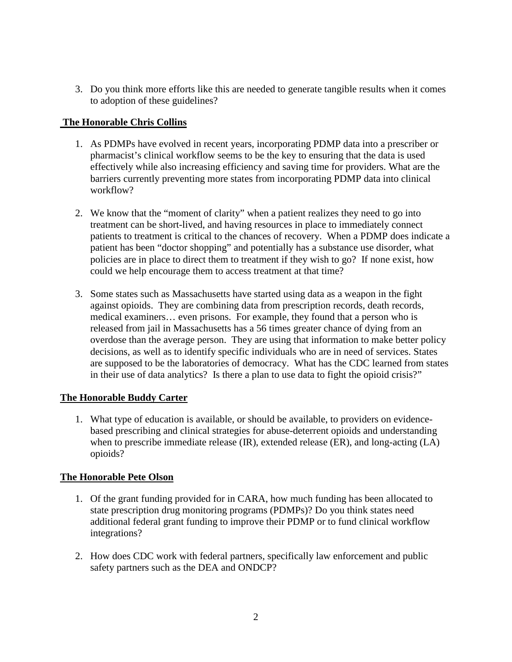3. Do you think more efforts like this are needed to generate tangible results when it comes to adoption of these guidelines?

#### **The Honorable Chris Collins**

- 1. As PDMPs have evolved in recent years, incorporating PDMP data into a prescriber or pharmacist's clinical workflow seems to be the key to ensuring that the data is used effectively while also increasing efficiency and saving time for providers. What are the barriers currently preventing more states from incorporating PDMP data into clinical workflow?
- 2. We know that the "moment of clarity" when a patient realizes they need to go into treatment can be short-lived, and having resources in place to immediately connect patients to treatment is critical to the chances of recovery. When a PDMP does indicate a patient has been "doctor shopping" and potentially has a substance use disorder, what policies are in place to direct them to treatment if they wish to go? If none exist, how could we help encourage them to access treatment at that time?
- 3. Some states such as Massachusetts have started using data as a weapon in the fight against opioids. They are combining data from prescription records, death records, medical examiners… even prisons. For example, they found that a person who is released from jail in Massachusetts has a 56 times greater chance of dying from an overdose than the average person. They are using that information to make better policy decisions, as well as to identify specific individuals who are in need of services. States are supposed to be the laboratories of democracy. What has the CDC learned from states in their use of data analytics? Is there a plan to use data to fight the opioid crisis?"

#### **The Honorable Buddy Carter**

1. What type of education is available, or should be available, to providers on evidencebased prescribing and clinical strategies for abuse-deterrent opioids and understanding when to prescribe immediate release (IR), extended release (ER), and long-acting (LA) opioids?

# **The Honorable Pete Olson**

- 1. Of the grant funding provided for in CARA, how much funding has been allocated to state prescription drug monitoring programs (PDMPs)? Do you think states need additional federal grant funding to improve their PDMP or to fund clinical workflow integrations?
- 2. How does CDC work with federal partners, specifically law enforcement and public safety partners such as the DEA and ONDCP?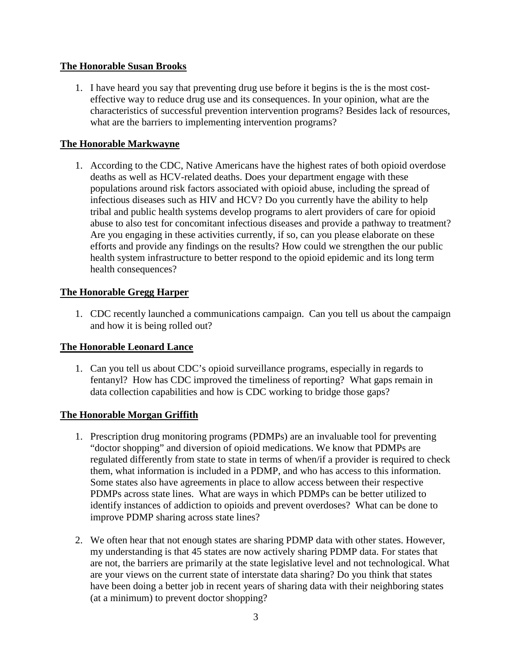#### **The Honorable Susan Brooks**

1. I have heard you say that preventing drug use before it begins is the is the most costeffective way to reduce drug use and its consequences. In your opinion, what are the characteristics of successful prevention intervention programs? Besides lack of resources, what are the barriers to implementing intervention programs?

# **The Honorable Markwayne**

1. According to the CDC, Native Americans have the highest rates of both opioid overdose deaths as well as HCV-related deaths. Does your department engage with these populations around risk factors associated with opioid abuse, including the spread of infectious diseases such as HIV and HCV? Do you currently have the ability to help tribal and public health systems develop programs to alert providers of care for opioid abuse to also test for concomitant infectious diseases and provide a pathway to treatment? Are you engaging in these activities currently, if so, can you please elaborate on these efforts and provide any findings on the results? How could we strengthen the our public health system infrastructure to better respond to the opioid epidemic and its long term health consequences?

#### **The Honorable Gregg Harper**

1. CDC recently launched a communications campaign. Can you tell us about the campaign and how it is being rolled out?

# **The Honorable Leonard Lance**

1. Can you tell us about CDC's opioid surveillance programs, especially in regards to fentanyl? How has CDC improved the timeliness of reporting? What gaps remain in data collection capabilities and how is CDC working to bridge those gaps?

#### **The Honorable Morgan Griffith**

- 1. Prescription drug monitoring programs (PDMPs) are an invaluable tool for preventing "doctor shopping" and diversion of opioid medications. We know that PDMPs are regulated differently from state to state in terms of when/if a provider is required to check them, what information is included in a PDMP, and who has access to this information. Some states also have agreements in place to allow access between their respective PDMPs across state lines. What are ways in which PDMPs can be better utilized to identify instances of addiction to opioids and prevent overdoses? What can be done to improve PDMP sharing across state lines?
- 2. We often hear that not enough states are sharing PDMP data with other states. However, my understanding is that 45 states are now actively sharing PDMP data. For states that are not, the barriers are primarily at the state legislative level and not technological. What are your views on the current state of interstate data sharing? Do you think that states have been doing a better job in recent years of sharing data with their neighboring states (at a minimum) to prevent doctor shopping?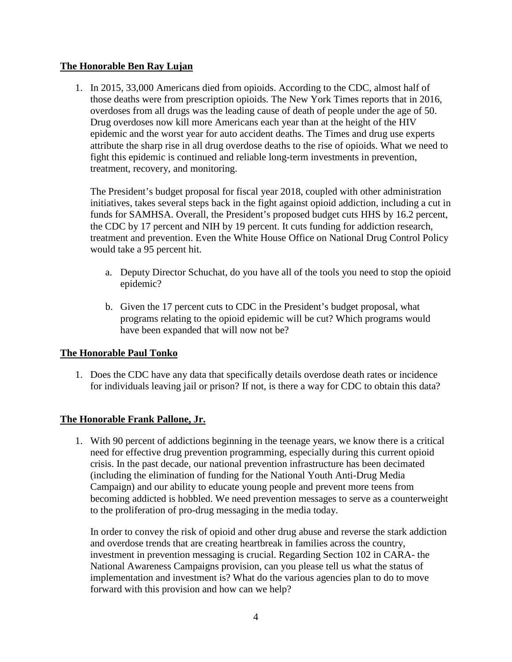#### **The Honorable Ben Ray Lujan**

1. In 2015, 33,000 Americans died from opioids. According to the CDC, almost half of those deaths were from prescription opioids. The New York Times reports that in 2016, overdoses from all drugs was the leading cause of death of people under the age of 50. Drug overdoses now kill more Americans each year than at the height of the HIV epidemic and the worst year for auto accident deaths. The Times and drug use experts attribute the sharp rise in all drug overdose deaths to the rise of opioids. What we need to fight this epidemic is continued and reliable long-term investments in prevention, treatment, recovery, and monitoring.

The President's budget proposal for fiscal year 2018, coupled with other administration initiatives, takes several steps back in the fight against opioid addiction, including a cut in funds for SAMHSA. Overall, the President's proposed budget cuts HHS by 16.2 percent, the CDC by 17 percent and NIH by 19 percent. It cuts funding for addiction research, treatment and prevention. Even the White House Office on National Drug Control Policy would take a 95 percent hit.

- a. Deputy Director Schuchat, do you have all of the tools you need to stop the opioid epidemic?
- b. Given the 17 percent cuts to CDC in the President's budget proposal, what programs relating to the opioid epidemic will be cut? Which programs would have been expanded that will now not be?

#### **The Honorable Paul Tonko**

1. Does the CDC have any data that specifically details overdose death rates or incidence for individuals leaving jail or prison? If not, is there a way for CDC to obtain this data?

# **The Honorable Frank Pallone, Jr.**

1. With 90 percent of addictions beginning in the teenage years, we know there is a critical need for effective drug prevention programming, especially during this current opioid crisis. In the past decade, our national prevention infrastructure has been decimated (including the elimination of funding for the National Youth Anti-Drug Media Campaign) and our ability to educate young people and prevent more teens from becoming addicted is hobbled. We need prevention messages to serve as a counterweight to the proliferation of pro-drug messaging in the media today.

In order to convey the risk of opioid and other drug abuse and reverse the stark addiction and overdose trends that are creating heartbreak in families across the country, investment in prevention messaging is crucial. Regarding Section 102 in CARA- the National Awareness Campaigns provision, can you please tell us what the status of implementation and investment is? What do the various agencies plan to do to move forward with this provision and how can we help?